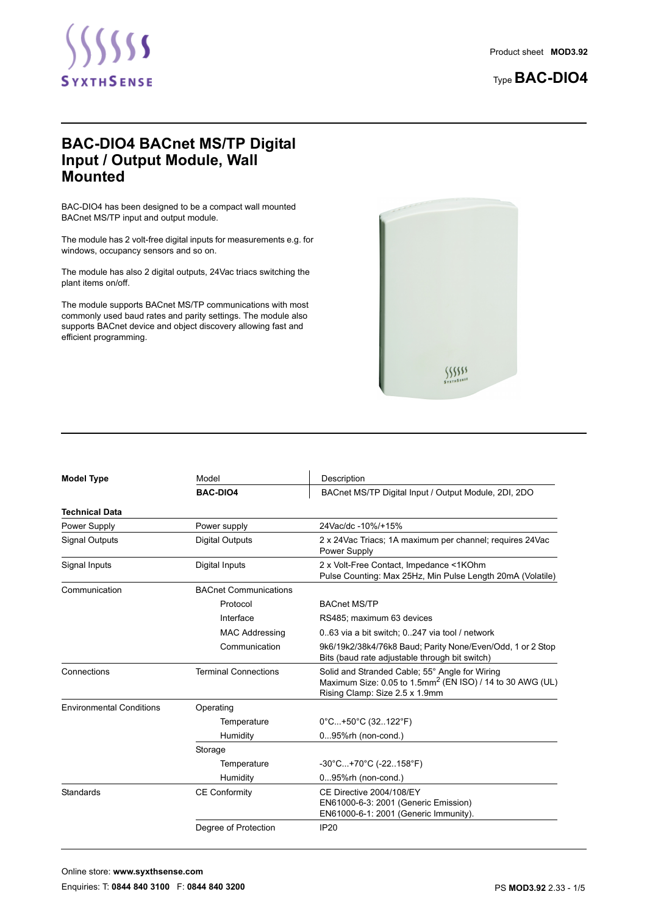

# Type **BAC-DIO4**

# **BAC-DIO4 BACnet MS/TP Digital Input / Output Module, Wall Mounted**

BAC-DIO4 has been designed to be a compact wall mounted BACnet MS/TP input and output module.

The module has 2 volt-free digital inputs for measurements e.g. for windows, occupancy sensors and so on.

The module has also 2 digital outputs, 24Vac triacs switching the plant items on/off.

The module supports BACnet MS/TP communications with most commonly used baud rates and parity settings. The module also supports BACnet device and object discovery allowing fast and efficient programming.



| <b>Model Type</b>               | Model                        | Description                                                                                                                                               |  |  |
|---------------------------------|------------------------------|-----------------------------------------------------------------------------------------------------------------------------------------------------------|--|--|
|                                 | <b>BAC-DIO4</b>              | BACnet MS/TP Digital Input / Output Module, 2DI, 2DO                                                                                                      |  |  |
| <b>Technical Data</b>           |                              |                                                                                                                                                           |  |  |
| Power Supply                    | Power supply                 | 24Vac/dc -10%/+15%                                                                                                                                        |  |  |
| <b>Signal Outputs</b>           | <b>Digital Outputs</b>       | 2 x 24Vac Triacs; 1A maximum per channel; requires 24Vac<br>Power Supply                                                                                  |  |  |
| Signal Inputs                   | Digital Inputs               | 2 x Volt-Free Contact, Impedance <1KOhm<br>Pulse Counting: Max 25Hz, Min Pulse Length 20mA (Volatile)                                                     |  |  |
| Communication                   | <b>BACnet Communications</b> |                                                                                                                                                           |  |  |
|                                 | Protocol                     | <b>BACnet MS/TP</b>                                                                                                                                       |  |  |
|                                 | Interface                    | RS485; maximum 63 devices                                                                                                                                 |  |  |
|                                 | <b>MAC Addressing</b>        | 063 via a bit switch; 0247 via tool / network                                                                                                             |  |  |
|                                 | Communication                | 9k6/19k2/38k4/76k8 Baud; Parity None/Even/Odd, 1 or 2 Stop<br>Bits (baud rate adjustable through bit switch)                                              |  |  |
| Connections                     | <b>Terminal Connections</b>  | Solid and Stranded Cable; 55° Angle for Wiring<br>Maximum Size: 0.05 to 1.5mm <sup>2</sup> (EN ISO) / 14 to 30 AWG (UL)<br>Rising Clamp: Size 2.5 x 1.9mm |  |  |
| <b>Environmental Conditions</b> | Operating                    |                                                                                                                                                           |  |  |
|                                 | Temperature                  | 0°C+50°C (32122°F)                                                                                                                                        |  |  |
|                                 | Humidity                     | 095%rh (non-cond.)                                                                                                                                        |  |  |
|                                 | Storage                      |                                                                                                                                                           |  |  |
|                                 | Temperature                  | $-30^{\circ}$ C +70 $^{\circ}$ C (-22158 $^{\circ}$ F)                                                                                                    |  |  |
|                                 | Humidity                     | $095\%$ rh (non-cond.)                                                                                                                                    |  |  |
| <b>Standards</b>                | <b>CE Conformity</b>         | CE Directive 2004/108/EY<br>EN61000-6-3: 2001 (Generic Emission)<br>EN61000-6-1: 2001 (Generic Immunity).                                                 |  |  |
|                                 | Degree of Protection         | <b>IP20</b>                                                                                                                                               |  |  |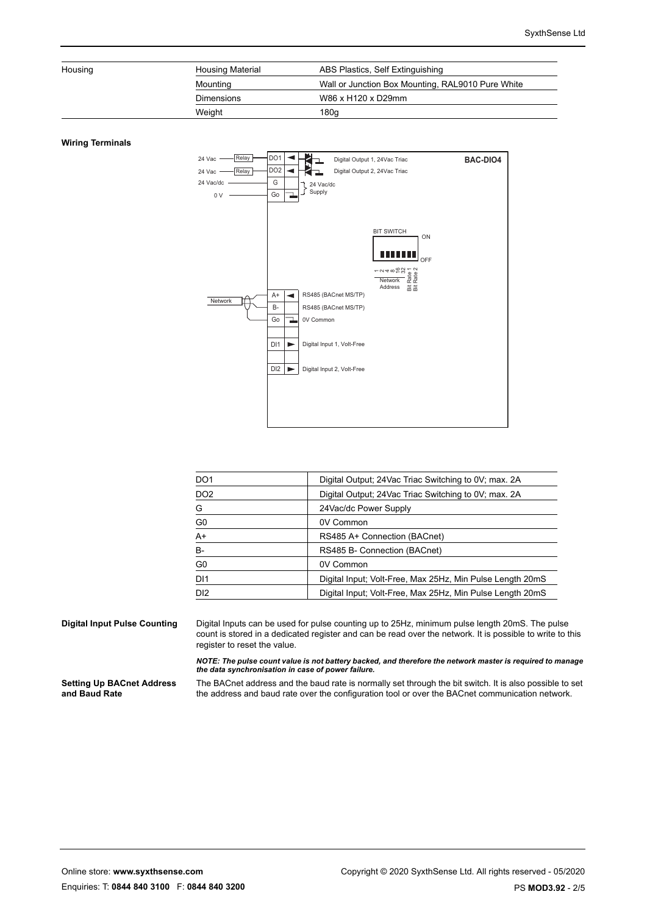| Housing | <b>Housing Material</b> | ABS Plastics, Self Extinguishing                  |
|---------|-------------------------|---------------------------------------------------|
|         | Mounting                | Wall or Junction Box Mounting, RAL9010 Pure White |
|         | <b>Dimensions</b>       | W86 x H120 x D29mm                                |
|         | Weight                  | 180a                                              |

#### **Wiring Terminals**



| DO <sub>1</sub> | Digital Output; 24 Vac Triac Switching to 0V; max. 2A     |
|-----------------|-----------------------------------------------------------|
| DO <sub>2</sub> | Digital Output; 24 Vac Triac Switching to 0V; max. 2A     |
| G               | 24 Vac/dc Power Supply                                    |
| G0              | 0V Common                                                 |
| A+              | RS485 A+ Connection (BACnet)                              |
| B-              | RS485 B- Connection (BACnet)                              |
| G0              | 0V Common                                                 |
| DI <sub>1</sub> | Digital Input; Volt-Free, Max 25Hz, Min Pulse Length 20mS |
| DI <sub>2</sub> | Digital Input; Volt-Free, Max 25Hz, Min Pulse Length 20mS |

**Digital Input Pulse Counting** Digital Inputs can be used for pulse counting up to 25Hz, minimum pulse length 20mS. The pulse count is stored in a dedicated register and can be read over the network. It is possible to write to this register to reset the value.

> *NOTE: The pulse count value is not battery backed, and therefore the network master is required to manage the data synchronisation in case of power failure.*

**Setting Up BACnet Address and Baud Rate**

The BACnet address and the baud rate is normally set through the bit switch. It is also possible to set the address and baud rate over the configuration tool or over the BACnet communication network.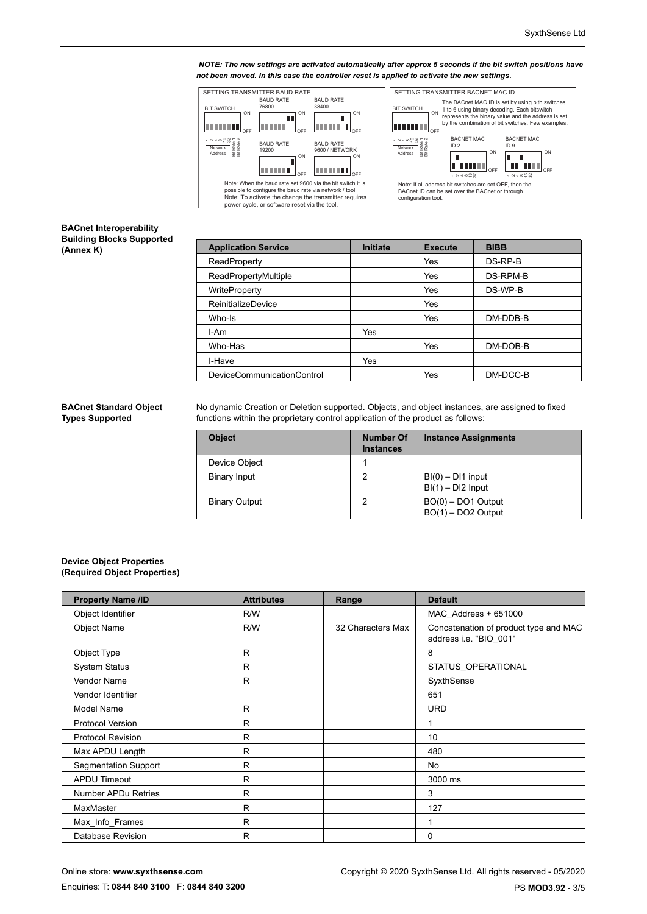*NOTE: The new settings are activated automatically after approx 5 seconds if the bit switch positions have not been moved. In this case the controller reset is applied to activate the new settings* .



### **BACnet Interoperability Building Blocks Supported (Annex K)**

| <b>Application Service</b> | Initiate   | <b>Execute</b> | <b>BIBB</b> |
|----------------------------|------------|----------------|-------------|
| ReadProperty               |            | Yes            | DS-RP-B     |
| ReadPropertyMultiple       |            | Yes            | DS-RPM-B    |
| WriteProperty              |            | Yes            | DS-WP-B     |
| ReinitializeDevice         |            | Yes            |             |
| Who-Is                     |            | Yes            | DM-DDB-B    |
| I-Am                       | <b>Yes</b> |                |             |
| Who-Has                    |            | Yes            | DM-DOB-B    |
| I-Have                     | Yes        |                |             |
| DeviceCommunicationControl |            | Yes            | DM-DCC-B    |

### **BACnet Standard Object Types Supported**

No dynamic Creation or Deletion supported. Objects, and object instances, are assigned to fixed functions within the proprietary control application of the product as follows:

| <b>Object</b>        | <b>Number Of</b><br><b>Instances</b> | <b>Instance Assignments</b>                |
|----------------------|--------------------------------------|--------------------------------------------|
| Device Object        |                                      |                                            |
| <b>Binary Input</b>  | 2                                    | $BI(0) - DI1$ input<br>$BI(1) - DI2$ Input |
| <b>Binary Output</b> |                                      | $BO(0) – DO1$ Output<br>BO(1) – DO2 Output |

#### **Device Object Properties (Required Object Properties)**

| <b>Property Name /ID</b>    | <b>Attributes</b> | Range             | <b>Default</b>                                                  |
|-----------------------------|-------------------|-------------------|-----------------------------------------------------------------|
| Object Identifier           | R/W               |                   | MAC Address + 651000                                            |
| <b>Object Name</b>          | R/W               | 32 Characters Max | Concatenation of product type and MAC<br>address i.e. "BIO_001" |
| Object Type                 | R                 |                   | 8                                                               |
| <b>System Status</b>        | R                 |                   | STATUS_OPERATIONAL                                              |
| <b>Vendor Name</b>          | $\mathsf{R}$      |                   | SyxthSense                                                      |
| Vendor Identifier           |                   |                   | 651                                                             |
| Model Name                  | R                 |                   | <b>URD</b>                                                      |
| <b>Protocol Version</b>     | R                 |                   | 1                                                               |
| <b>Protocol Revision</b>    | R                 |                   | 10                                                              |
| Max APDU Length             | R                 |                   | 480                                                             |
| <b>Segmentation Support</b> | R                 |                   | <b>No</b>                                                       |
| <b>APDU Timeout</b>         | R                 |                   | 3000 ms                                                         |
| <b>Number APDu Retries</b>  | R                 |                   | 3                                                               |
| MaxMaster                   | $\mathsf{R}$      |                   | 127                                                             |
| Max Info Frames             | $\mathsf{R}$      |                   | 1                                                               |
| <b>Database Revision</b>    | R                 |                   | 0                                                               |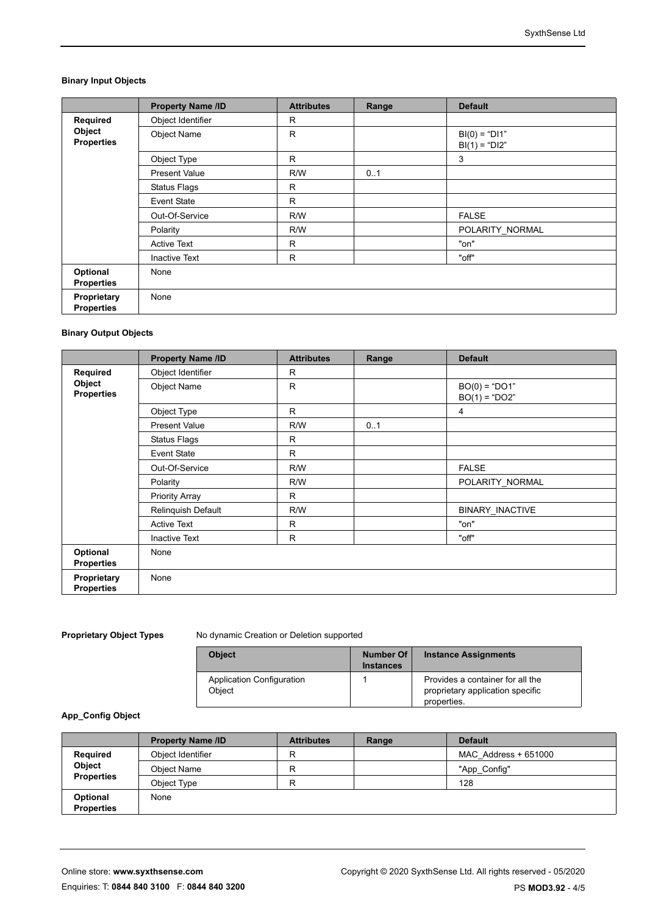# **Binary Input Objects**

|                                  | <b>Property Name /ID</b> | <b>Attributes</b> | Range | <b>Default</b>                     |
|----------------------------------|--------------------------|-------------------|-------|------------------------------------|
| Required                         | Object Identifier        | R                 |       |                                    |
| Object<br><b>Properties</b>      | <b>Object Name</b>       | R                 |       | $BI(0) = "DI1"$<br>$BI(1) = "DI2"$ |
|                                  | Object Type              | R.                |       | 3                                  |
|                                  | <b>Present Value</b>     | R/W               | 0.1   |                                    |
|                                  | <b>Status Flags</b>      | R                 |       |                                    |
|                                  | <b>Event State</b>       | $\mathsf{R}$      |       |                                    |
|                                  | Out-Of-Service           | R/W               |       | <b>FALSE</b>                       |
|                                  | Polarity                 | R/W               |       | POLARITY_NORMAL                    |
|                                  | <b>Active Text</b>       | R                 |       | "on"                               |
|                                  | <b>Inactive Text</b>     | R                 |       | "off"                              |
| Optional<br><b>Properties</b>    | None                     |                   |       |                                    |
| Proprietary<br><b>Properties</b> | None                     |                   |       |                                    |

# **Binary Output Objects**

|                                  | <b>Property Name /ID</b> | <b>Attributes</b> | Range | <b>Default</b>                     |
|----------------------------------|--------------------------|-------------------|-------|------------------------------------|
| Required                         | Object Identifier        | R                 |       |                                    |
| Object<br><b>Properties</b>      | <b>Object Name</b>       | $\mathsf{R}$      |       | $BO(0) = "DO1"$<br>$BO(1) = "DO2"$ |
|                                  | Object Type              | R                 |       | 4                                  |
|                                  | <b>Present Value</b>     | R/W               | 0.1   |                                    |
|                                  | <b>Status Flags</b>      | R                 |       |                                    |
|                                  | <b>Event State</b>       | R                 |       |                                    |
|                                  | Out-Of-Service           | R/W               |       | <b>FALSE</b>                       |
|                                  | Polarity                 | R/W               |       | POLARITY NORMAL                    |
|                                  | <b>Priority Array</b>    | $\mathsf{R}$      |       |                                    |
|                                  | Relinquish Default       | R/W               |       | BINARY_INACTIVE                    |
|                                  | <b>Active Text</b>       | R                 |       | "on"                               |
|                                  | <b>Inactive Text</b>     | $\mathsf{R}$      |       | "off"                              |
| Optional<br><b>Properties</b>    | None                     |                   |       |                                    |
| Proprietary<br><b>Properties</b> | None                     |                   |       |                                    |

**Proprietary Object Types** No dynamic Creation or Deletion supported

| <b>Object</b>                       | Number Of<br><b>Instances</b> | <b>Instance Assignments</b>                                                         |
|-------------------------------------|-------------------------------|-------------------------------------------------------------------------------------|
| Application Configuration<br>Object |                               | Provides a container for all the<br>proprietary application specific<br>properties. |

## **App\_Config Object**

|                                         | <b>Property Name /ID</b> | <b>Attributes</b> | Range | <b>Default</b>       |
|-----------------------------------------|--------------------------|-------------------|-------|----------------------|
| Required<br>Object<br><b>Properties</b> | Object Identifier        | R                 |       | MAC Address + 651000 |
|                                         | Obiect Name              | R                 |       | "App Config"         |
|                                         | Object Type              | R                 |       | 128                  |
| Optional                                | None                     |                   |       |                      |
| <b>Properties</b>                       |                          |                   |       |                      |